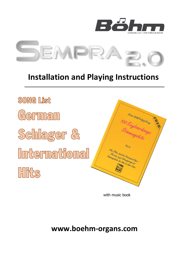



# **Installation and Playing Instructions**

**\_\_\_\_\_\_\_\_\_\_\_\_\_\_\_\_\_\_\_\_\_\_\_\_\_\_\_\_\_\_\_\_\_\_\_\_\_\_\_\_\_\_\_\_\_\_\_\_\_\_**



with music book

**www.boehm-organs.com**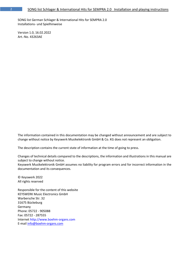SONG list German Schlager & International Hits for SEMPRA 2.0 Installations- und Spielhinweise

Version 1.0, 16.02.2022 Art.-No. 43263AE

The information contained in this documentation may be changed without announcement and are subject to change without notice by Keyswerk Musikelektronik GmbH & Co. KG does not represent an obligation.

The description contains the current state of information at the time of going to press.

Changes of technical details compared to the descriptions, the information and illustrations in this manual are subject to change without notice.

Keyswerk Musikelektronik GmbH assumes no liability for program errors and for incorrect information in the documentation and its consequences.

© Keyswerk 2022 All rights reserved

Responsible for the content of this website KEYSWERK Music Electronics GmbH Warbersche Str. 32 31675 Bückeburg Germany Phone: 05722 - 905088 Fax: 05722 - 287555 Internet http://www.boehm-organs.com E-mail [info@boehm-organs.com](mailto:info@boehm-organs.com)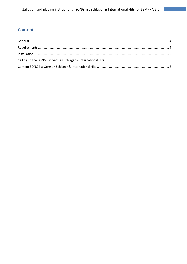## **Content**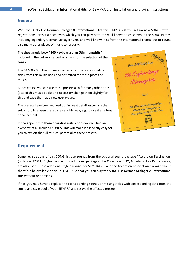#### <span id="page-3-0"></span>**General**

With the SONG List **German Schlager & International Hits** for SEMPRA 2.0 you get 64 new SONGS with 6 registrations (presets) each, with which you can play both the well-known titles shown in the SONG names, including legendary German Schlager tunes and well-known hits from the international charts, but of course also many other pieces of music sonorously.

The sheet music book "**100 Keyboardsongs Stimmungshits**" included in the delivery served as a basis for the selection of the songs.

The 64 SONGS in the list were named after the corresponding titles from this music book and optimized for these pieces of music.

But of course you can use these presets also for many other titles (also of this music book) or if necessary change them slightly for this and save them as a new user preset.

The presets have been worked out in great detail, especially the solo chord has been preset in a sensible way, e.g. to use it as a tonal enhancement.

In the appendix to these operating instructions you will find an overview of all included SONGS. This will make it especially easy for you to exploit the full musical potential of these presets.



### <span id="page-3-1"></span>**Requirements**

Some registrations of this SONG list use sounds from the optional sound package "Accordion Fascination" (order no. 42311). Styles from various additional packages (Star Collection, DOO, Amadeus Style Performance) are also used. These additional style packages for SEMPRA 2.0 and the Accordion Fascination package should therefore be available on your SEMPRA so that you can play the SONG List **German Schlager & International Hits** without restrictions.

If not, you may have to replace the corresponding sounds or missing styles with corresponding data from the sound and style pool of your SEMPRA and resave the affected presets.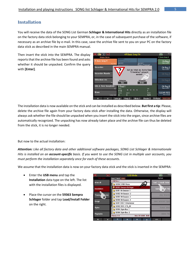#### <span id="page-4-0"></span>**Installation**

You will receive the data of the SONG List German **Schlager & International Hits** directly as an installation file on the factory data stick belonging to your SEMPRA, or, in the case of subsequent purchase of the software, if necessary as an archive file by e-mail. In this case, save the archive file sent to you on your PC on the factory data stick as described in the main SEMPRA manual.

Then insert the stick into the SEMPRA. The display reports that the archive file has been found and asks whether it should be unpacked. Confirm the query with **[Enter]**.



The installation data is now available on the stick and can be installed as described below. **But first a tip**: Please, delete the archive file again from your factory data stick after installing the data. Otherwise, the display will always ask whether the file should be unpacked when you insert the stick into the organ, since archive files are automatically recognized. The unpacking has now already taken place and the archive file can thus be deleted from the stick, it is no longer needed.

But now to the actual installation:

*Attention: Like all factory data and other additional software packages, SONG List Schlager & Internationale Hits is installed on an account-specific basis. If you want to use the SONG List in multiple user accounts, you must perform the installation separately once for each of these accounts*.

We assume that the installation data is now on your factory data stick and the stick is inserted in the SEMPRA:

- Enter the **USB menu** and tap the **Installation** data type on the left. The list with the installation files is displayed.
- Place the cursor on the **59363 Sempra Schlager** folder and tap **Load/Install Folder** on the right.

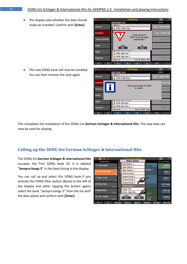$\overline{\alpha}$ 

show all

**Themes** 

Sonas Styles

Playbacks

 $|\texttt{Syst.}||\texttt{Work}|$ **C:/INSTALL/** 

59356 D-MiX-Rotor

59395 Style-Box 1 4 59396 Style-Box 2

Filesize 0 B

The display asks whether the data should really be installed. Confirm with **[Enter]**.



"110 Sempra-Schlager P-01.SGB" is copied...

Date 25.14.2025 06:40

 $\overline{\mathbf{r}}$ Action

d / install fo

stall fil

directl d typ

• The new SONG bank will now be installed. You can then remove the stick again.

This completes the installation of the SONG List **German Schlager & International Hits**. The new data can now be used for playing.

#### <span id="page-5-0"></span>**Calling up the SONG list German Schlager & International Hits**

The SONG list **German Schlager & International Hits** occupies the Firm SONG bank 10. It is labeled "**Sempra-Songs 5**" in the bank listing in the display.

You can call up and select this SONG bank if you activate the SONG filter button [Bank] to the left of the display and (after tapping the button again) select the bank "Sempra-Songs 5" from the list with the data wheel and confirm with **[Enter]**:

|               | $\blacksquare$<br>$\overline{\left( \kappa \right) }$<br>面 | «Ton of the world»                 | 个个                                     | 12:40                            |
|---------------|------------------------------------------------------------|------------------------------------|----------------------------------------|----------------------------------|
|               | Sempra-Songs 5                                             | Select please:                     |                                        | Top of the world                 |
|               | 35 Time is tight                                           | Style-Basics 2                     |                                        |                                  |
|               | Upt<br>R&B                                                 | Style-Basics 3                     | nc. ped.                               | <b>INTRO</b><br>Warm E-Git.dyn.1 |
|               | 36 Top of the world                                        | Style-Basics 4                     | 3it.dyn.1                              |                                  |
|               | Folk:                                                      | Sempra-Songs 1                     |                                        | VERS <sub>1</sub><br>Real Organ  |
|               | 37 Walk of Life                                            | Sempra-Songs 2                     | solid                                  | VERS <sub>2</sub>                |
|               | <b>Lot</b><br>Folk                                         | Sempra-Songs 3                     |                                        | E-Piano solid                    |
|               | 38 Yellow River                                            | 畑<br>Sempra-Songs 4                |                                        | <b>REFRAIN</b>                   |
| O<br>Pop/Beat |                                                            | Sempra-Songs 5                     |                                        | Shadow's Git FX                  |
|               | 39 Bakerstreet                                             | St.Bas. ASP                        |                                        | <b>BRIDGE</b>                    |
|               | Pop/Beat                                                   | St.Bas. Style-Box<br>m             | Barcount                               | E-P. PowerGrand                  |
|               | 40 Just a Gigolo<br>Jive/R'n'R                             | Cancel<br>Continue<br>Enter<br>Esc | Signature<br>4/4                       | <b>ENDING</b><br>Real Organ      |
|               | ४<br>《<br>Lets go                                          | Party 2<br>Birds 1                 | <b>FX-Rotor</b><br>Glocke <sub>2</sub> | Rotor slifs                      |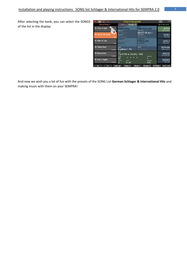After selecting the bank, you can select the SONGS of the list in the display:

| 霝<br>页                         | «Top of the world»                                                                                      | 12:40<br>11                        |
|--------------------------------|---------------------------------------------------------------------------------------------------------|------------------------------------|
| Sempra-Songs 5                 | $ $ Arpeggio $(6) $<br><b>Parts</b>                                                                     | Top of the world                   |
| 35 Time is tight               | Solo <sub>1</sub><br>Solochord 1<br>Hawaii Gt.leg.<br>Piano Conc. ped.<br>Upper left 1<br>Upper right 1 | <b>INTRO</b><br>Warm E-Git.dyn.1   |
| 36 Top of the world<br>Folk    | Warm E-Git.dyn.1<br>lo Sound<br>Upper left 2<br>Upper right 2<br>No Sound<br>lo Sound.                  | <b>VERS1</b><br>Real Organ         |
| 37 Walk of Life<br>Folk        | Lower left 1<br>Lower right 1<br>E-Piano solid<br>Str.Broadwav<br>Lower left 2<br>Lower right 2         | VERS <sub>2</sub><br>E-Piano solid |
| 38 Yellow River<br>Pop/Beat    | <b>No Sound</b><br>No Sound<br>Pedal 2<br>Pedal 1<br>Orgelbass 1 Pd<br>No Sound                         | <b>REFRAIN</b><br>Shadow's Git. FX |
| 39 Bakerstreet<br>Pop/Beat     | Style<br>Top of the w. Country - stcl2<br>Tempo<br>Barcount<br>$\bullet$ $\bullet$ $\bullet$            | <b>BRIDGE</b><br>E-P. PowerGrand   |
| 40 Just a Gigolo<br>Jive/R'n'R | ∩<br>92<br>Signature<br>Transp.<br>Chord<br>4/4<br>C<br>A m7                                            | <b>ENDING</b><br>Real Organ        |
| ×<br>"                         | Birds 1<br>Glocke <sub>2</sub><br>Lets go<br>Party 2                                                    | <b>FX-Rotor</b><br>Rotor slifs     |

And now we wish you a lot of fun with the presets of the SONG List **German Schlager & International Hits** and making music with them on your SEMPRA!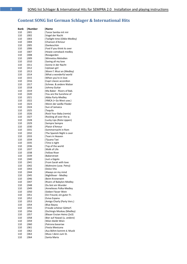# <span id="page-7-0"></span>**Content SONG list German Schlager & International Hits**

| Bank       | Number      | Name                                          |
|------------|-------------|-----------------------------------------------|
| 110        | 001         | Tanze Samba mit mir                           |
| 110        | 002         | Vogel der Nacht                               |
| 110        | 003         | Twilight time (Oldie-Medley)                  |
| 110        | 004         | Chanson d'Amour                               |
| 110        | 005         | l Dankeschön                                  |
| 110        | 006         | Fool if you think its over                    |
| 110        | 007         | Howie comeback medley                         |
| 110        | 008         | Rosegarden                                    |
| 110        | 009         | Winnetou Melodien                             |
| 110        | 010         | Saving all my love                            |
| 110        | 1011        | Sonne in der Nacht                            |
| 110        | 012         | Uptown girl                                   |
| 110        | 013         | Wann f. Musi an (Medley)                      |
| 110<br>110 | 014<br> 015 | What a wonderful world<br>When you're in love |
| 110        | 016         | Capri classic accordion                       |
| 110        | 017         | Schnee. & andere Walzer                       |
| 110        | 018         | Johnny Guitar                                 |
| 110        | 019         | Ma Baker - Rivers of Bab.                     |
| 110        | 020         | You are the Sunshine of                       |
| 110        | 021         | Abba Party-Medley                             |
| 110        | 022         | [YMCA (+ Go West usw.)                        |
| 110        | 023         | Wenn der weiße Flieder                        |
| 110        | 024         | Sun of Jamaica                                |
| 110        | 025         | Tequila                                       |
| 110        | 026         | Rock Your Baby (remix)                        |
| 110        | 027         | Rocking all over the w.                       |
| 110        | 028         | [Lucky Lips (Rote Lippen)                     |
| 110        | 029         | Sempre Sempre                                 |
| 110        | 030         | Plaisir d'Amour                               |
| 110        | 031         | Sommernacht in Rom                            |
| 110        | 032         | The Spanish Night is over                     |
| 110        | 033         | Tears in Heaven                               |
| 110        | 034         | Tijuana Taxi                                  |
| 110        | 035         | Time is tight                                 |
| 110        | 036         | Top of the world                              |
| 110        | 037         | Walk of Life                                  |
| 110        | 038         | Yellow River                                  |
| 110        | 039         | <b>Bakerstreet</b>                            |
| 110<br>110 | 040         | Just a Gigolo<br>From Sarah with love         |
| 110        | 041<br> 042 | Wahnsinn (usw. Petry)                         |
| 110        | 043         | Dolce Vita                                    |
| 110        | 1044        | Always on my mind                             |
| 110        | 045         | Nightfever - Medley                           |
| 110        | 046         | Beim Kronenwirt                               |
| 110        | 047         | <b>Rivers of Babylon-Medley</b>               |
| 110        | 048         | Du bist ein Wunder                            |
| 110        | 049         | Annelieses Polka-Medley                       |
| 110        | 050         | Sieben Fässer Wein                            |
| 110        | 051         | Ein Freund, ein guter Fr.                     |
| 110        | 052         | Eviva Espana                                  |
| 110        | 053         | Amigo Charly (Party Vers.)                    |
| 110        | 054         | <b>Blue Bayou</b>                             |
| 110        | 055         | Freude schöner Götterf.                       |
| 110        | 056         | <b>Dschingis Moskau (Medley)</b>              |
| 110        | 057         | Blauer Enzian Heino (2x3)                     |
| 110        | 058         | Bier auf Hawaii (u. andere)                   |
| 110        | 059         | Wien bleibt Wien                              |
| 110        | 060         | Patrona bavariae                              |
| 110        | 061         | Fiesta Mexicana                               |
| 110        | 062         | Aus Böhm kommt d. Musik                       |
| 110        | 063         | Muss I denn zum St.                           |
| 110        | 064         | Santa Maria                                   |